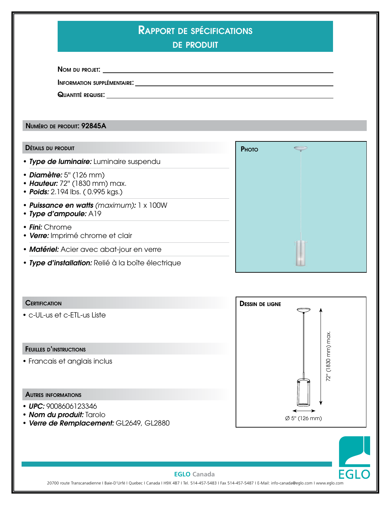| <b>DE PRODUIT</b>                                                                                                                                                                                                                   |  |
|-------------------------------------------------------------------------------------------------------------------------------------------------------------------------------------------------------------------------------------|--|
|                                                                                                                                                                                                                                     |  |
|                                                                                                                                                                                                                                     |  |
|                                                                                                                                                                                                                                     |  |
| <b>INFORMATION SUPPLÉMENTAIRE:</b> And the state of the state of the state of the state of the state of the state of the state of the state of the state of the state of the state of the state of the state of the state of the st |  |

PHOTO

Numéro de produit: 92845A

## Détails du produit

- 
- *Diamètre:* 5'' (126 mm)
- *Hauteur:* 72'' (1830 mm) max.
- *Poids:* 2.194 lbs. ( 0.995 kgs.)
- *Puissance en watts (maximum):* 1 x 100W
- *Type d'ampoule:* A19
- • *Fini:* Chrome
- *Verre:* Imprimé chrome et clair
- *Matériel:* Acier avec abat-jour en verre
- Type de luminaire: Luminaire suspendu<br>
Diamètre: 5" (126 mm)<br>
Hauteur: 72" (1830 mm) max.<br>
Poids: 2.194 lbs. (0.995 kgs.)<br>
Puissance en watts (maximum): 1 x 100W<br>
Type d'ampoule: A19<br>
Fini: Chrome<br>
Verre: I • *Type d'installation:* Relié à la boîte électrique

# **CERTIFICATION**

• c-UL-us et c-ETL-us Liste

## Feuilles d'instructions

• Francais et anglais inclus

#### Autres informations

- *UPC:* 9008606123346
- *Nom du produit:* Tarolo
- *Verre de Remplacement:* GL2649, GL2880





# **EGLO Canada**

20700 route Transcanadienne I Baie-D'Urfé I Quebec I Canada I H9X 4B7 I Tel. 514-457-5483 I Fax 514-457-5487 I E-Mail: info-canada@eglo.com I www.eglo.com